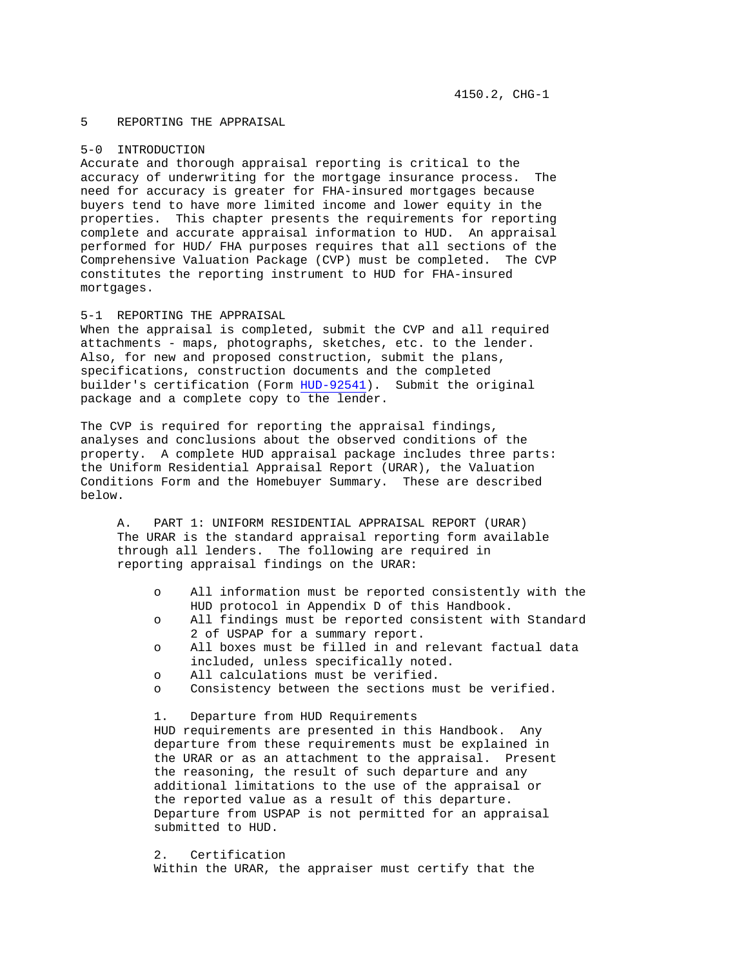#### 5 REPORTING THE APPRAISAL

## 5-0 INTRODUCTION

Accurate and thorough appraisal reporting is critical to the accuracy of underwriting for the mortgage insurance process. The need for accuracy is greater for FHA-insured mortgages because buyers tend to have more limited income and lower equity in the properties. This chapter presents the requirements for reporting complete and accurate appraisal information to HUD. An appraisal performed for HUD/ FHA purposes requires that all sections of the Comprehensive Valuation Package (CVP) must be completed. The CVP constitutes the reporting instrument to HUD for FHA-insured mortgages.

### 5-1 REPORTING THE APPRAISAL

When the appraisal is completed, submit the CVP and all required attachments - maps, photographs, sketches, etc. to the lender. Also, for new and proposed construction, submit the plans, specifications, construction documents and the completed builder's certification (Form HUD-92541). Submit the original package and a complete copy to the lender.

The CVP is required for reporting the appraisal findings, analyses and conclusions about the observed conditions of the property. A complete HUD appraisal package includes three parts: the Uniform Residential Appraisal Report (URAR), the Valuation Conditions Form and the Homebuyer Summary. These are described below.

 A. PART 1: UNIFORM RESIDENTIAL APPRAISAL REPORT (URAR) The URAR is the standard appraisal reporting form available through all lenders. The following are required in reporting appraisal findings on the URAR:

- o All information must be reported consistently with the HUD protocol in Appendix D of this Handbook.
- o All findings must be reported consistent with Standard 2 of USPAP for a summary report.
- o All boxes must be filled in and relevant factual data included, unless specifically noted.
- o All calculations must be verified.
- o Consistency between the sections must be verified.

 1. Departure from HUD Requirements HUD requirements are presented in this Handbook. Any departure from these requirements must be explained in the URAR or as an attachment to the appraisal. Present the reasoning, the result of such departure and any additional limitations to the use of the appraisal or the reported value as a result of this departure. Departure from USPAP is not permitted for an appraisal submitted to HUD.

 2. Certification Within the URAR, the appraiser must certify that the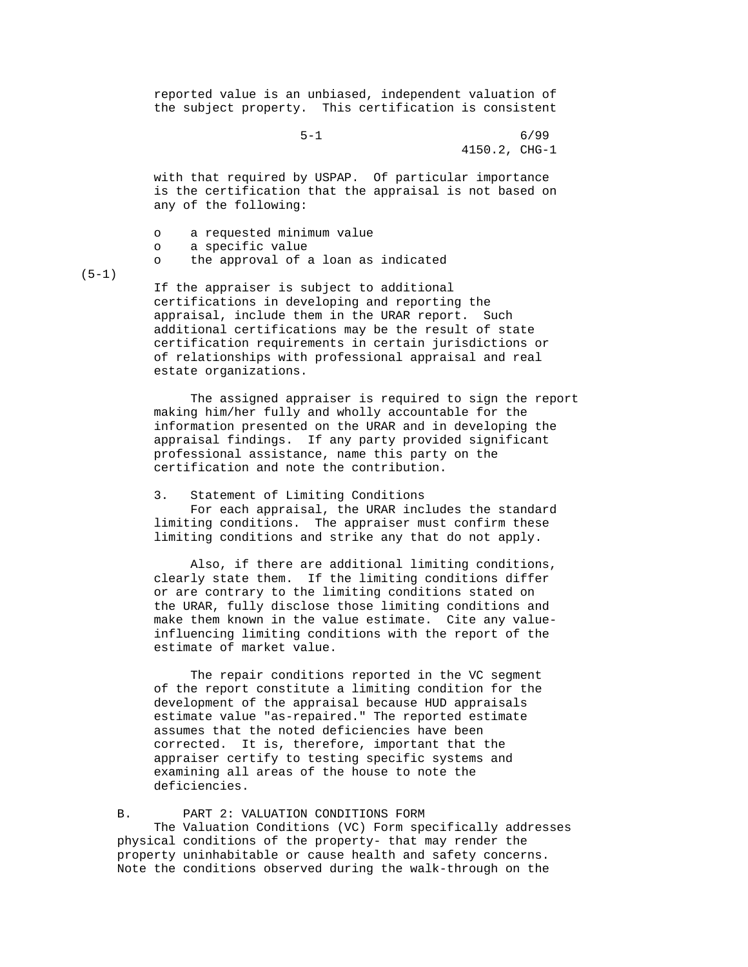reported value is an unbiased, independent valuation of the subject property. This certification is consistent

 $5-1$  6/99 4150.2, CHG-1

> with that required by USPAP. Of particular importance is the certification that the appraisal is not based on any of the following:

- o a requested minimum value
- o a specific value
- o the approval of a loan as indicated

 $(5-1)$ 

 If the appraiser is subject to additional certifications in developing and reporting the appraisal, include them in the URAR report. Such additional certifications may be the result of state certification requirements in certain jurisdictions or of relationships with professional appraisal and real estate organizations.

 The assigned appraiser is required to sign the report making him/her fully and wholly accountable for the information presented on the URAR and in developing the appraisal findings. If any party provided significant professional assistance, name this party on the certification and note the contribution.

3. Statement of Limiting Conditions

 For each appraisal, the URAR includes the standard limiting conditions. The appraiser must confirm these limiting conditions and strike any that do not apply.

 Also, if there are additional limiting conditions, clearly state them. If the limiting conditions differ or are contrary to the limiting conditions stated on the URAR, fully disclose those limiting conditions and make them known in the value estimate. Cite any value influencing limiting conditions with the report of the estimate of market value.

 The repair conditions reported in the VC segment of the report constitute a limiting condition for the development of the appraisal because HUD appraisals estimate value "as-repaired." The reported estimate assumes that the noted deficiencies have been corrected. It is, therefore, important that the appraiser certify to testing specific systems and examining all areas of the house to note the deficiencies.

 B. PART 2: VALUATION CONDITIONS FORM The Valuation Conditions (VC) Form specifically addresses physical conditions of the property- that may render the property uninhabitable or cause health and safety concerns. Note the conditions observed during the walk-through on the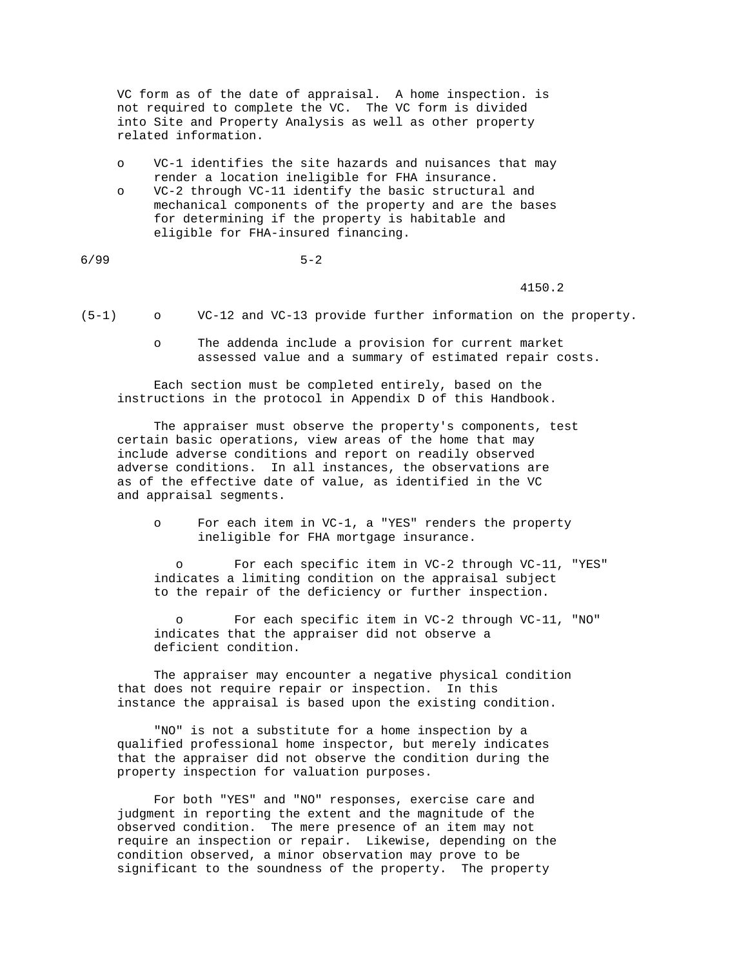VC form as of the date of appraisal. A home inspection. is not required to complete the VC. The VC form is divided into Site and Property Analysis as well as other property related information.

- o VC-1 identifies the site hazards and nuisances that may render a location ineligible for FHA insurance.
- o VC-2 through VC-11 identify the basic structural and mechanical components of the property and are the bases for determining if the property is habitable and eligible for FHA-insured financing.

$$
6/99 \hspace{3.2cm} 5-2
$$

# 4150.2

- (5-1) o VC-12 and VC-13 provide further information on the property.
	- o The addenda include a provision for current market assessed value and a summary of estimated repair costs.

 Each section must be completed entirely, based on the instructions in the protocol in Appendix D of this Handbook.

 The appraiser must observe the property's components, test certain basic operations, view areas of the home that may include adverse conditions and report on readily observed adverse conditions. In all instances, the observations are as of the effective date of value, as identified in the VC and appraisal segments.

 o For each item in VC-1, a "YES" renders the property ineligible for FHA mortgage insurance.

 o For each specific item in VC-2 through VC-11, "YES" indicates a limiting condition on the appraisal subject to the repair of the deficiency or further inspection.

 o For each specific item in VC-2 through VC-11, "NO" indicates that the appraiser did not observe a deficient condition.

 The appraiser may encounter a negative physical condition that does not require repair or inspection. In this instance the appraisal is based upon the existing condition.

 "NO" is not a substitute for a home inspection by a qualified professional home inspector, but merely indicates that the appraiser did not observe the condition during the property inspection for valuation purposes.

 For both "YES" and "NO" responses, exercise care and judgment in reporting the extent and the magnitude of the observed condition. The mere presence of an item may not require an inspection or repair. Likewise, depending on the condition observed, a minor observation may prove to be significant to the soundness of the property. The property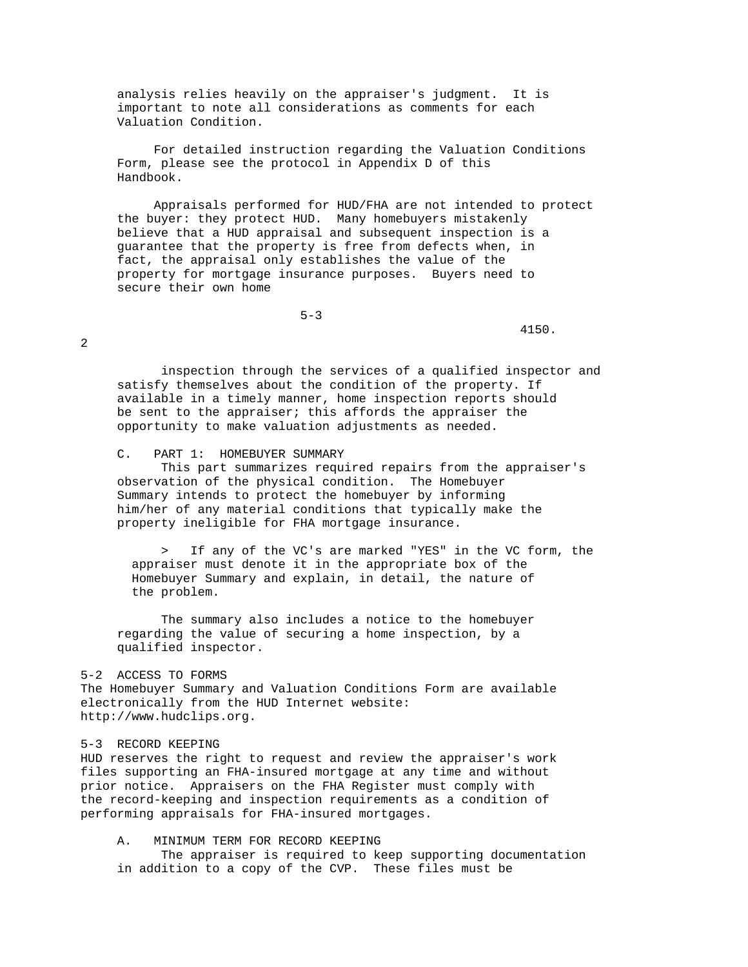analysis relies heavily on the appraiser's judgment. It is important to note all considerations as comments for each Valuation Condition.

 For detailed instruction regarding the Valuation Conditions Form, please see the protocol in Appendix D of this Handbook.

 Appraisals performed for HUD/FHA are not intended to protect the buyer: they protect HUD. Many homebuyers mistakenly believe that a HUD appraisal and subsequent inspection is a guarantee that the property is free from defects when, in fact, the appraisal only establishes the value of the property for mortgage insurance purposes. Buyers need to secure their own home

 $5-3$ 

 $4150.$ 

2

 inspection through the services of a qualified inspector and satisfy themselves about the condition of the property. If available in a timely manner, home inspection reports should be sent to the appraiser; this affords the appraiser the opportunity to make valuation adjustments as needed.

#### C. PART 1: HOMEBUYER SUMMARY

 This part summarizes required repairs from the appraiser's observation of the physical condition. The Homebuyer Summary intends to protect the homebuyer by informing him/her of any material conditions that typically make the property ineligible for FHA mortgage insurance.

 > If any of the VC's are marked "YES" in the VC form, the appraiser must denote it in the appropriate box of the Homebuyer Summary and explain, in detail, the nature of the problem.

 The summary also includes a notice to the homebuyer regarding the value of securing a home inspection, by a qualified inspector.

## 5-2 ACCESS TO FORMS

The Homebuyer Summary and Valuation Conditions Form are available electronically from the HUD Internet website: http://www.hudclips.org.

#### 5-3 RECORD KEEPING

HUD reserves the right to request and review the appraiser's work files supporting an FHA-insured mortgage at any time and without prior notice. Appraisers on the FHA Register must comply with the record-keeping and inspection requirements as a condition of performing appraisals for FHA-insured mortgages.

A. MINIMUM TERM FOR RECORD KEEPING

 The appraiser is required to keep supporting documentation in addition to a copy of the CVP. These files must be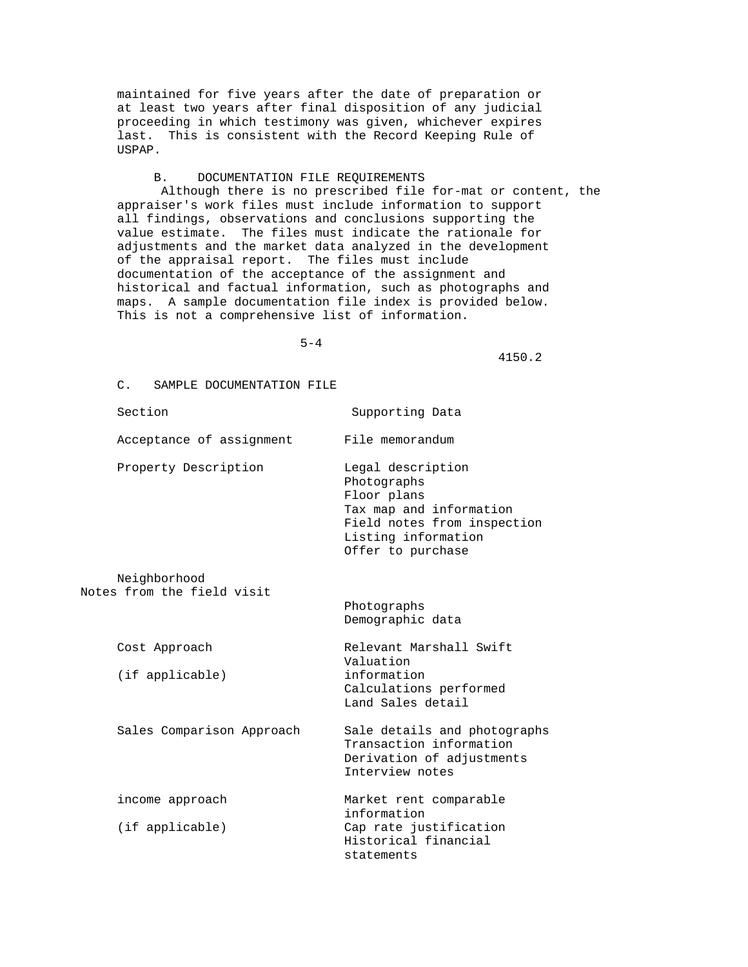maintained for five years after the date of preparation or at least two years after final disposition of any judicial proceeding in which testimony was given, whichever expires last. This is consistent with the Record Keeping Rule of USPAP.

# B. DOCUMENTATION FILE REQUIREMENTS

 Although there is no prescribed file for-mat or content, the appraiser's work files must include information to support all findings, observations and conclusions supporting the value estimate. The files must indicate the rationale for adjustments and the market data analyzed in the development of the appraisal report. The files must include documentation of the acceptance of the assignment and historical and factual information, such as photographs and maps. A sample documentation file index is provided below. This is not a comprehensive list of information.

 $5-4$ 

4150.2

# C. SAMPLE DOCUMENTATION FILE

| Section                                    | Supporting Data                                                                                                                                       |
|--------------------------------------------|-------------------------------------------------------------------------------------------------------------------------------------------------------|
| Acceptance of assignment                   | File memorandum                                                                                                                                       |
| Property Description                       | Legal description<br>Photographs<br>Floor plans<br>Tax map and information<br>Field notes from inspection<br>Listing information<br>Offer to purchase |
| Neighborhood<br>Notes from the field visit | Photographs<br>Demographic data                                                                                                                       |
| Cost Approach                              | Relevant Marshall Swift<br>Valuation                                                                                                                  |
| (if applicable)                            | information<br>Calculations performed<br>Land Sales detail                                                                                            |
| Sales Comparison Approach                  | Sale details and photographs<br>Transaction information<br>Derivation of adjustments<br>Interview notes                                               |
| income approach                            | Market rent comparable<br>information                                                                                                                 |
| (if applicable)                            | Cap rate justification<br>Historical financial<br>statements                                                                                          |